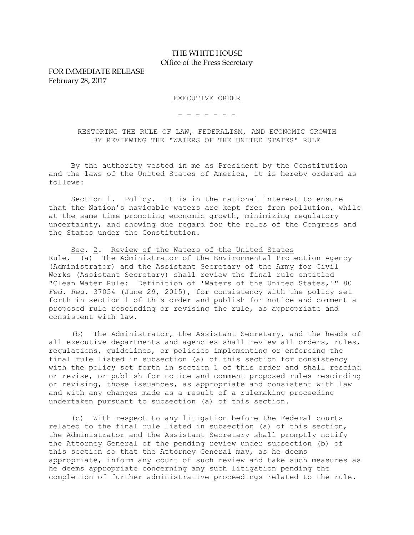## THE WHITE HOUSE Office of the Press Secretary

FOR IMMEDIATE RELEASE February 28, 2017

EXECUTIVE ORDER

- - - - - - -

RESTORING THE RULE OF LAW, FEDERALISM, AND ECONOMIC GROWTH BY REVIEWING THE "WATERS OF THE UNITED STATES" RULE

 By the authority vested in me as President by the Constitution and the laws of the United States of America, it is hereby ordered as follows:

Section 1. Policy. It is in the national interest to ensure that the Nation's navigable waters are kept free from pollution, while at the same time promoting economic growth, minimizing regulatory uncertainty, and showing due regard for the roles of the Congress and the States under the Constitution.

 Sec. 2. Review of the Waters of the United States Rule.  $(a)$  The Administrator of the Environmental Protection Agency (Administrator) and the Assistant Secretary of the Army for Civil Works (Assistant Secretary) shall review the final rule entitled "Clean Water Rule: Definition of 'Waters of the United States,'" 80 *Fed. Reg.* 37054 (June 29, 2015), for consistency with the policy set forth in section 1 of this order and publish for notice and comment a proposed rule rescinding or revising the rule, as appropriate and consistent with law.

 (b) The Administrator, the Assistant Secretary, and the heads of all executive departments and agencies shall review all orders, rules, regulations, guidelines, or policies implementing or enforcing the final rule listed in subsection (a) of this section for consistency with the policy set forth in section 1 of this order and shall rescind or revise, or publish for notice and comment proposed rules rescinding or revising, those issuances, as appropriate and consistent with law and with any changes made as a result of a rulemaking proceeding undertaken pursuant to subsection (a) of this section.

 (c) With respect to any litigation before the Federal courts related to the final rule listed in subsection (a) of this section, the Administrator and the Assistant Secretary shall promptly notify the Attorney General of the pending review under subsection (b) of this section so that the Attorney General may, as he deems appropriate, inform any court of such review and take such measures as he deems appropriate concerning any such litigation pending the completion of further administrative proceedings related to the rule.